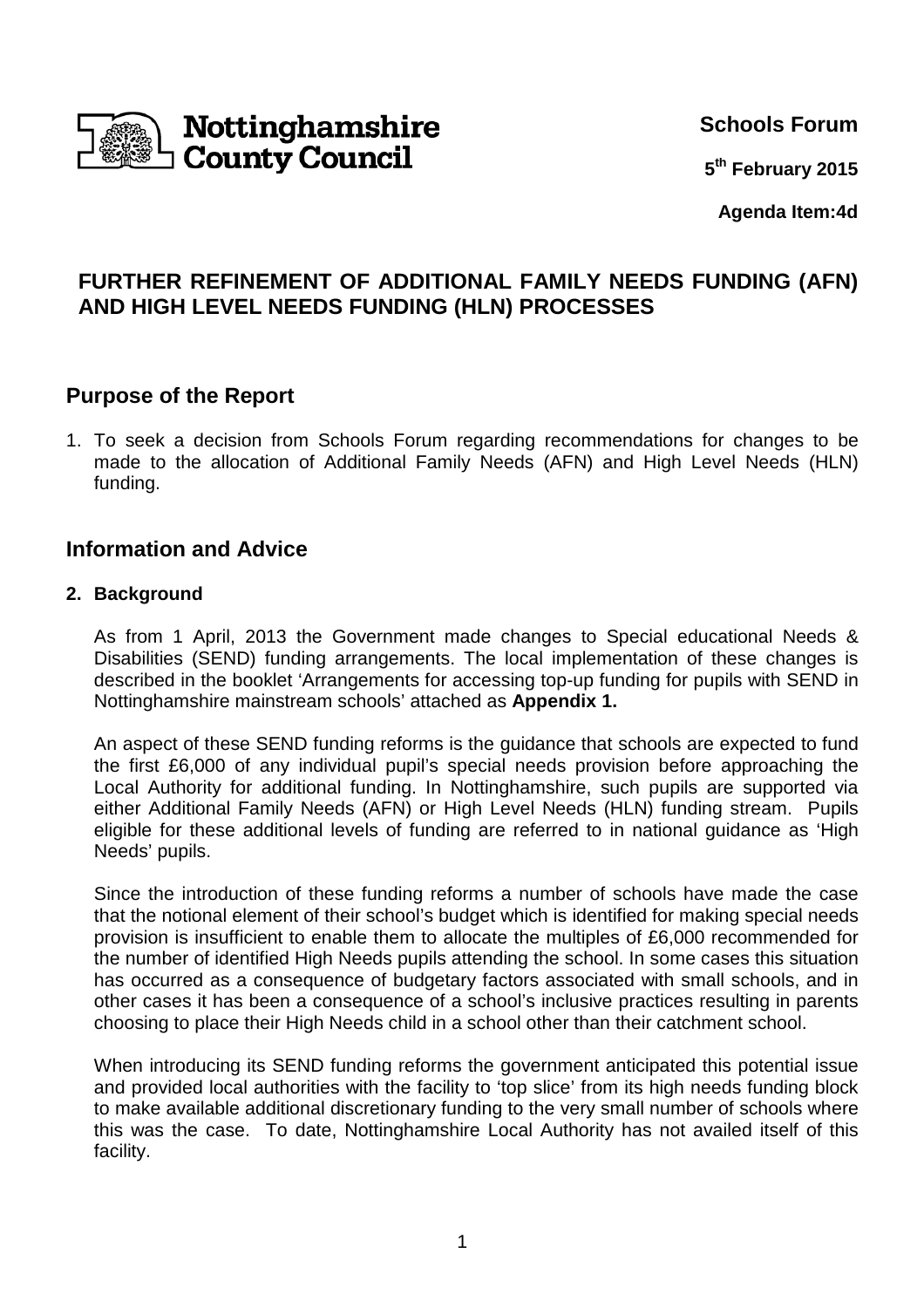

**Schools Forum**

**5 th February 2015**

**Agenda Item:4d**

# **FURTHER REFINEMENT OF ADDITIONAL FAMILY NEEDS FUNDING (AFN) AND HIGH LEVEL NEEDS FUNDING (HLN) PROCESSES**

## **Purpose of the Report**

1. To seek a decision from Schools Forum regarding recommendations for changes to be made to the allocation of Additional Family Needs (AFN) and High Level Needs (HLN) funding.

## **Information and Advice**

#### **2. Background**

As from 1 April, 2013 the Government made changes to Special educational Needs & Disabilities (SEND) funding arrangements. The local implementation of these changes is described in the booklet 'Arrangements for accessing top-up funding for pupils with SEND in Nottinghamshire mainstream schools' attached as **Appendix 1.** 

An aspect of these SEND funding reforms is the guidance that schools are expected to fund the first £6,000 of any individual pupil's special needs provision before approaching the Local Authority for additional funding. In Nottinghamshire, such pupils are supported via either Additional Family Needs (AFN) or High Level Needs (HLN) funding stream. Pupils eligible for these additional levels of funding are referred to in national guidance as 'High Needs' pupils.

Since the introduction of these funding reforms a number of schools have made the case that the notional element of their school's budget which is identified for making special needs provision is insufficient to enable them to allocate the multiples of £6,000 recommended for the number of identified High Needs pupils attending the school. In some cases this situation has occurred as a consequence of budgetary factors associated with small schools, and in other cases it has been a consequence of a school's inclusive practices resulting in parents choosing to place their High Needs child in a school other than their catchment school.

When introducing its SEND funding reforms the government anticipated this potential issue and provided local authorities with the facility to 'top slice' from its high needs funding block to make available additional discretionary funding to the very small number of schools where this was the case. To date, Nottinghamshire Local Authority has not availed itself of this facility.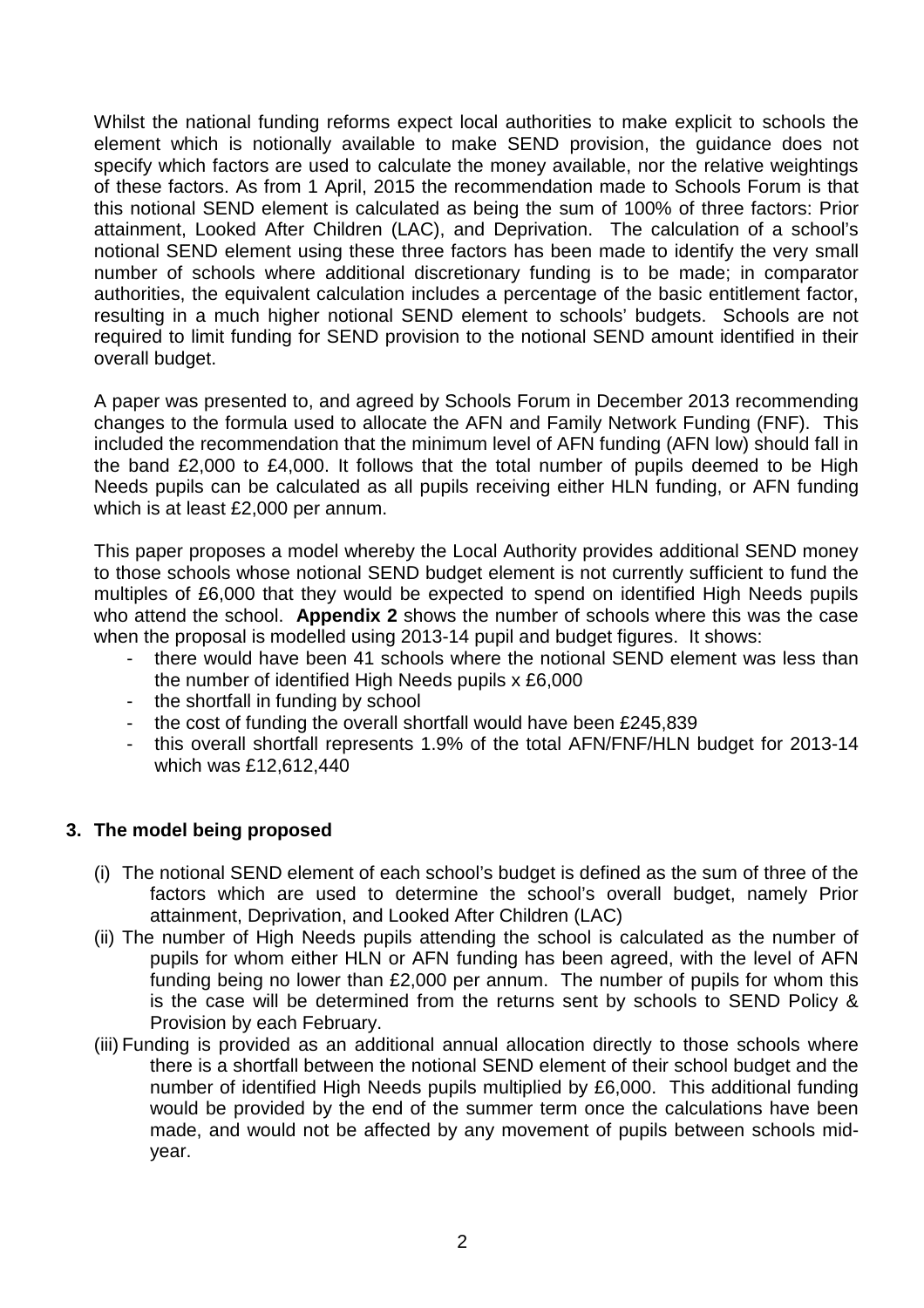Whilst the national funding reforms expect local authorities to make explicit to schools the element which is notionally available to make SEND provision, the guidance does not specify which factors are used to calculate the money available, nor the relative weightings of these factors. As from 1 April, 2015 the recommendation made to Schools Forum is that this notional SEND element is calculated as being the sum of 100% of three factors: Prior attainment, Looked After Children (LAC), and Deprivation. The calculation of a school's notional SEND element using these three factors has been made to identify the very small number of schools where additional discretionary funding is to be made; in comparator authorities, the equivalent calculation includes a percentage of the basic entitlement factor, resulting in a much higher notional SEND element to schools' budgets. Schools are not required to limit funding for SEND provision to the notional SEND amount identified in their overall budget.

A paper was presented to, and agreed by Schools Forum in December 2013 recommending changes to the formula used to allocate the AFN and Family Network Funding (FNF). This included the recommendation that the minimum level of AFN funding (AFN low) should fall in the band £2,000 to £4,000. It follows that the total number of pupils deemed to be High Needs pupils can be calculated as all pupils receiving either HLN funding, or AFN funding which is at least £2,000 per annum.

This paper proposes a model whereby the Local Authority provides additional SEND money to those schools whose notional SEND budget element is not currently sufficient to fund the multiples of £6,000 that they would be expected to spend on identified High Needs pupils who attend the school. **Appendix 2** shows the number of schools where this was the case when the proposal is modelled using 2013-14 pupil and budget figures. It shows:

- there would have been 41 schools where the notional SEND element was less than the number of identified High Needs pupils x £6,000
- the shortfall in funding by school
- the cost of funding the overall shortfall would have been £245,839
- this overall shortfall represents 1.9% of the total AFN/FNF/HLN budget for 2013-14 which was £12,612,440

#### **3. The model being proposed**

- (i) The notional SEND element of each school's budget is defined as the sum of three of the factors which are used to determine the school's overall budget, namely Prior attainment, Deprivation, and Looked After Children (LAC)
- (ii) The number of High Needs pupils attending the school is calculated as the number of pupils for whom either HLN or AFN funding has been agreed, with the level of AFN funding being no lower than £2,000 per annum. The number of pupils for whom this is the case will be determined from the returns sent by schools to SEND Policy & Provision by each February.
- (iii) Funding is provided as an additional annual allocation directly to those schools where there is a shortfall between the notional SEND element of their school budget and the number of identified High Needs pupils multiplied by £6,000. This additional funding would be provided by the end of the summer term once the calculations have been made, and would not be affected by any movement of pupils between schools midyear.